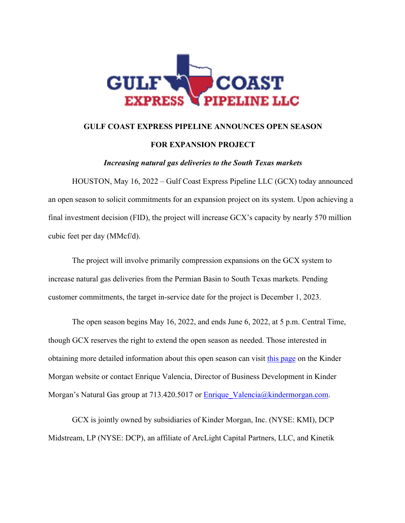

## **GULF COAST EXPRESS PIPELINE ANNOUNCES OPEN SEASON**

### **FOR EXPANSION PROJECT**

*Increasing natural gas deliveries to the South Texas markets*

HOUSTON, May 16, 2022 – Gulf Coast Express Pipeline LLC (GCX) today announced an open season to solicit commitments for an expansion project on its system. Upon achieving a final investment decision (FID), the project will increase GCX's capacity by nearly 570 million cubic feet per day (MMcf/d).

The project will involve primarily compression expansions on the GCX system to increase natural gas deliveries from the Permian Basin to South Texas markets. Pending customer commitments, the target in-service date for the project is December 1, 2023.

The open season begins May 16, 2022, and ends June 6, 2022, at 5 p.m. Central Time, though GCX reserves the right to extend the open season as needed. Those interested in obtaining more detailed information about this open season can visit this page on the Kinder Morgan website or contact Enrique Valencia, Director of Business Development in Kinder Morgan's Natural Gas group at 713.420.5017 or  $Enrique Valencia@kindermorgan.com.$ </u>

GCX is jointly owned by subsidiaries of Kinder Morgan, Inc. (NYSE: KMI), DCP Midstream, LP (NYSE: DCP), an affiliate of ArcLight Capital Partners, LLC, and Kinetik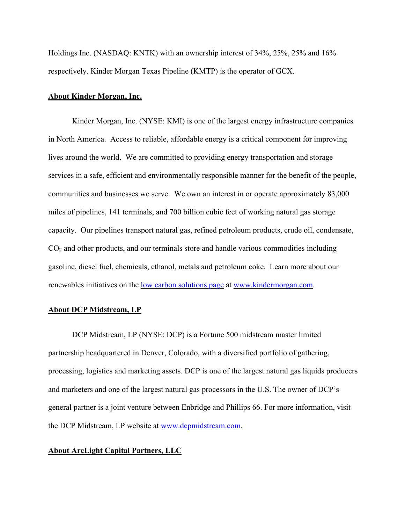Holdings Inc. (NASDAQ: KNTK) with an ownership interest of 34%, 25%, 25% and 16% respectively. Kinder Morgan Texas Pipeline (KMTP) is the operator of GCX.

#### **About Kinder Morgan, Inc.**

Kinder Morgan, Inc. (NYSE: KMI) is one of the largest energy infrastructure companies in North America. Access to reliable, affordable energy is a critical component for improving lives around the world. We are committed to providing energy transportation and storage services in a safe, efficient and environmentally responsible manner for the benefit of the people, communities and businesses we serve. We own an interest in or operate approximately 83,000 miles of pipelines, 141 terminals, and 700 billion cubic feet of working natural gas storage capacity. Our pipelines transport natural gas, refined petroleum products, crude oil, condensate, CO2 and other products, and our terminals store and handle various commodities including gasoline, diesel fuel, chemicals, ethanol, metals and petroleum coke. Learn more about our renewables initiatives on the low carbon solutions page at www.kindermorgan.com.

#### **About DCP Midstream, LP**

DCP Midstream, LP (NYSE: DCP) is a Fortune 500 midstream master limited partnership headquartered in Denver, Colorado, with a diversified portfolio of gathering, processing, logistics and marketing assets. DCP is one of the largest natural gas liquids producers and marketers and one of the largest natural gas processors in the U.S. The owner of DCP's general partner is a joint venture between Enbridge and Phillips 66. For more information, visit the DCP Midstream, LP website at www.dcpmidstream.com.

### **About ArcLight Capital Partners, LLC**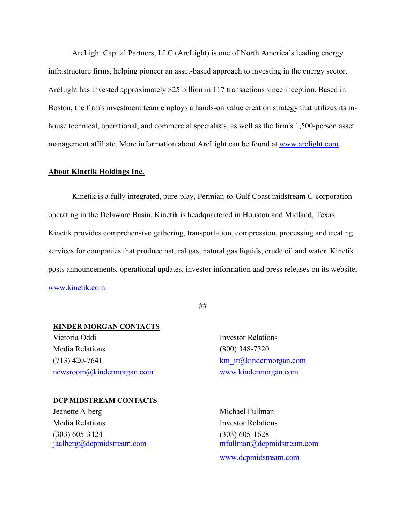ArcLight Capital Partners, LLC (ArcLight) is one of North America's leading energy infrastructure firms, helping pioneer an asset-based approach to investing in the energy sector. ArcLight has invested approximately \$25 billion in 117 transactions since inception. Based in Boston, the firm's investment team employs a hands-on value creation strategy that utilizes its inhouse technical, operational, and commercial specialists, as well as the firm's 1,500-person asset management affiliate. More information about ArcLight can be found at www.arclight.com.

#### **About Kinetik Holdings Inc.**

Kinetik is a fully integrated, pure-play, Permian-to-Gulf Coast midstream C-corporation operating in the Delaware Basin. Kinetik is headquartered in Houston and Midland, Texas. Kinetik provides comprehensive gathering, transportation, compression, processing and treating services for companies that produce natural gas, natural gas liquids, crude oil and water. Kinetik posts announcements, operational updates, investor information and press releases on its website, www.kinetik.com.

##

## **KINDER MORGAN CONTACTS**

Victoria Oddi Investor Relations Media Relations (800) 348-7320  $(713)$  420-7641 km ir@kindermorgan.com newsroom@kindermorgan.com www.kindermorgan.com

#### **DCP MIDSTREAM CONTACTS**

Jeanette Alberg Michael Fullman Media Relations **Investor Relations** (303) 605-3424 (303) 605-1628

jaalberg@dcpmidstream.com mfullman@dcpmidstream.com www.dcpmidstream.com